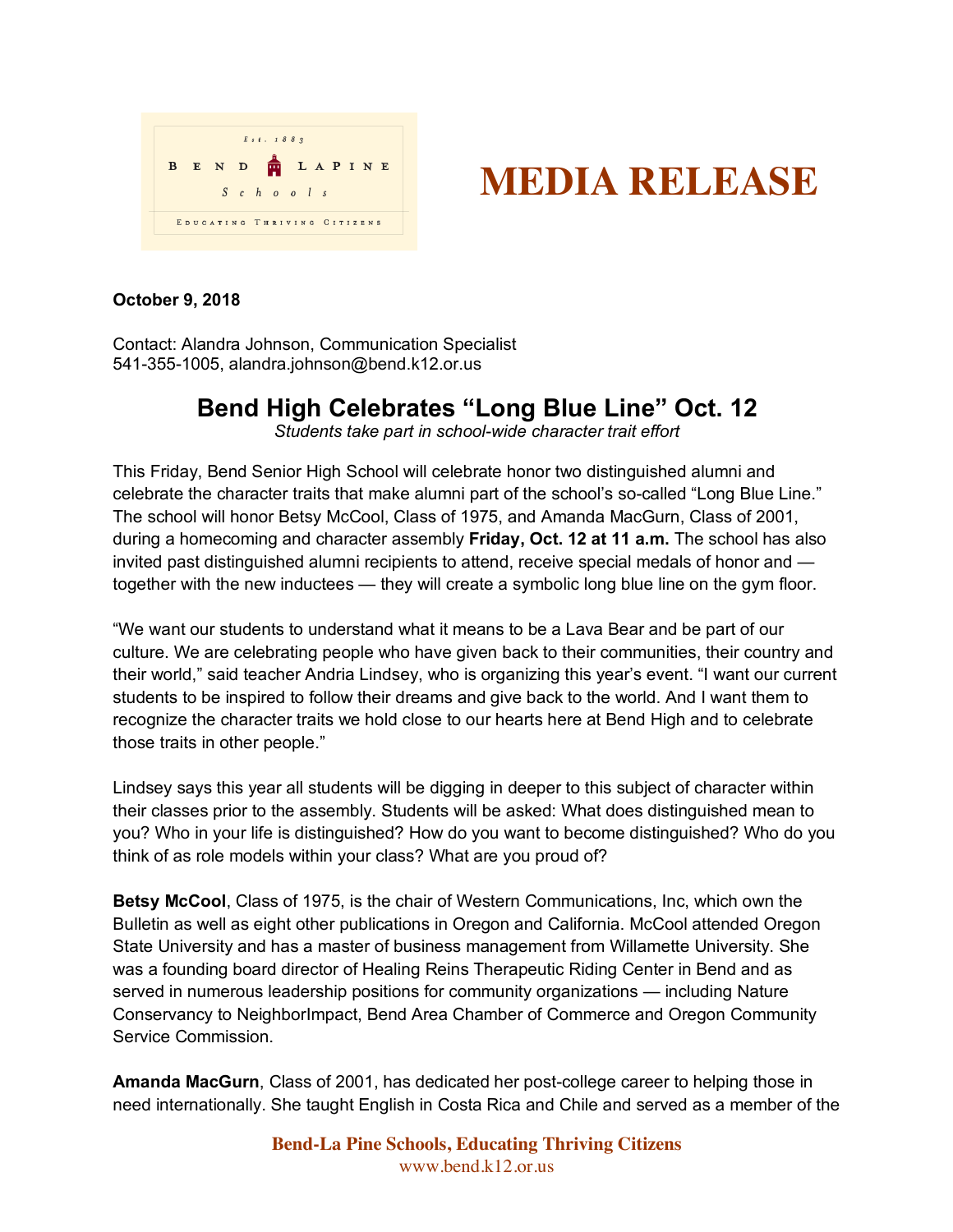

## **MEDIA RELEASE**

## **October 9, 2018**

Contact: Alandra Johnson, Communication Specialist 541-355-1005, alandra.johnson@bend.k12.or.us

## **Bend High Celebrates "Long Blue Line" Oct. 12**

*Students take part in school-wide character trait effort*

This Friday, Bend Senior High School will celebrate honor two distinguished alumni and celebrate the character traits that make alumni part of the school's so-called "Long Blue Line." The school will honor Betsy McCool, Class of 1975, and Amanda MacGurn, Class of 2001, during a homecoming and character assembly **Friday, Oct. 12 at 11 a.m.** The school has also invited past distinguished alumni recipients to attend, receive special medals of honor and together with the new inductees — they will create a symbolic long blue line on the gym floor.

"We want our students to understand what it means to be a Lava Bear and be part of our culture. We are celebrating people who have given back to their communities, their country and their world," said teacher Andria Lindsey, who is organizing this year's event. "I want our current students to be inspired to follow their dreams and give back to the world. And I want them to recognize the character traits we hold close to our hearts here at Bend High and to celebrate those traits in other people."

Lindsey says this year all students will be digging in deeper to this subject of character within their classes prior to the assembly. Students will be asked: What does distinguished mean to you? Who in your life is distinguished? How do you want to become distinguished? Who do you think of as role models within your class? What are you proud of?

**Betsy McCool**, Class of 1975, is the chair of Western Communications, Inc, which own the Bulletin as well as eight other publications in Oregon and California. McCool attended Oregon State University and has a master of business management from Willamette University. She was a founding board director of Healing Reins Therapeutic Riding Center in Bend and as served in numerous leadership positions for community organizations — including Nature Conservancy to NeighborImpact, Bend Area Chamber of Commerce and Oregon Community Service Commission.

**Amanda MacGurn**, Class of 2001, has dedicated her post-college career to helping those in need internationally. She taught English in Costa Rica and Chile and served as a member of the